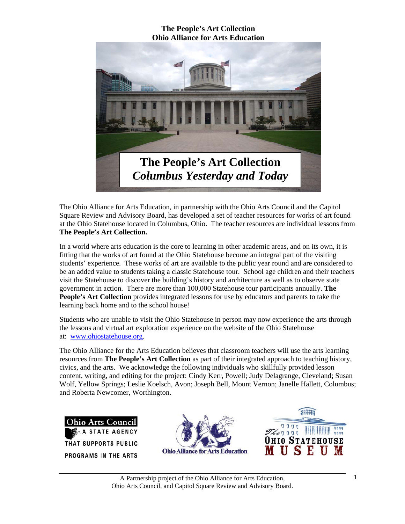

The Ohio Alliance for Arts Education, in partnership with the Ohio Arts Council and the Capitol Square Review and Advisory Board, has developed a set of teacher resources for works of art found at the Ohio Statehouse located in Columbus, Ohio. The teacher resources are individual lessons from **The People's Art Collection.** 

In a world where arts education is the core to learning in other academic areas, and on its own, it is fitting that the works of art found at the Ohio Statehouse become an integral part of the visiting students' experience. These works of art are available to the public year round and are considered to be an added value to students taking a classic Statehouse tour. School age children and their teachers visit the Statehouse to discover the building's history and architecture as well as to observe state government in action. There are more than 100,000 Statehouse tour participants annually. **The People's Art Collection** provides integrated lessons for use by educators and parents to take the learning back home and to the school house!

Students who are unable to visit the Ohio Statehouse in person may now experience the arts through the lessons and virtual art exploration experience on the website of the Ohio Statehouse at: www.ohiostatehouse.org.

The Ohio Alliance for the Arts Education believes that classroom teachers will use the arts learning resources from **The People's Art Collection** as part of their integrated approach to teaching history, civics, and the arts. We acknowledge the following individuals who skillfully provided lesson content, writing, and editing for the project: Cindy Kerr, Powell; Judy Delagrange, Cleveland; Susan Wolf, Yellow Springs; Leslie Koelsch, Avon; Joseph Bell, Mount Vernon; Janelle Hallett, Columbus; and Roberta Newcomer, Worthington.

Arts Council Ohio **AGENCY** THAT SUPPORTS PUBLIC PROGRAMS IN THE ARTS



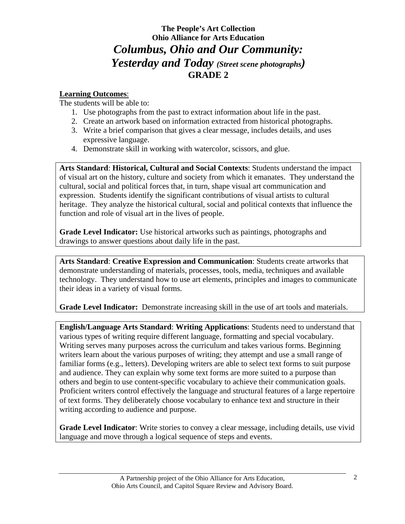# **The People's Art Collection Ohio Alliance for Arts Education** *Columbus, Ohio and Our Community: Yesterday and Today (Street scene photographs)* **GRADE 2**

### **Learning Outcomes**:

The students will be able to:

- 1. Use photographs from the past to extract information about life in the past.
- 2. Create an artwork based on information extracted from historical photographs.
- 3. Write a brief comparison that gives a clear message, includes details, and uses expressive language.
- 4. Demonstrate skill in working with watercolor, scissors, and glue.

**Arts Standard**: **Historical, Cultural and Social Contexts**: Students understand the impact of visual art on the history, culture and society from which it emanates. They understand the cultural, social and political forces that, in turn, shape visual art communication and expression. Students identify the significant contributions of visual artists to cultural heritage. They analyze the historical cultural, social and political contexts that influence the function and role of visual art in the lives of people.

**Grade Level Indicator:** Use historical artworks such as paintings, photographs and drawings to answer questions about daily life in the past.

**Arts Standard**: **Creative Expression and Communication**: Students create artworks that demonstrate understanding of materials, processes, tools, media, techniques and available technology. They understand how to use art elements, principles and images to communicate their ideas in a variety of visual forms.

**Grade Level Indicator:** Demonstrate increasing skill in the use of art tools and materials.

**English/Language Arts Standard**: **Writing Applications**: Students need to understand that various types of writing require different language, formatting and special vocabulary. Writing serves many purposes across the curriculum and takes various forms. Beginning writers learn about the various purposes of writing; they attempt and use a small range of familiar forms (e.g., letters). Developing writers are able to select text forms to suit purpose and audience. They can explain why some text forms are more suited to a purpose than others and begin to use content-specific vocabulary to achieve their communication goals. Proficient writers control effectively the language and structural features of a large repertoire of text forms. They deliberately choose vocabulary to enhance text and structure in their writing according to audience and purpose.

**Grade Level Indicator**: Write stories to convey a clear message, including details, use vivid language and move through a logical sequence of steps and events.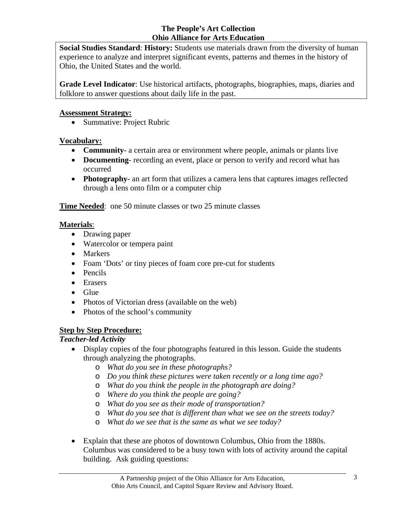**Social Studies Standard**: **History:** Students use materials drawn from the diversity of human experience to analyze and interpret significant events, patterns and themes in the history of Ohio, the United States and the world.

**Grade Level Indicator**: Use historical artifacts, photographs, biographies, maps, diaries and folklore to answer questions about daily life in the past.

#### **Assessment Strategy:**

• Summative: Project Rubric

# **Vocabulary:**

- **Community-** a certain area or environment where people, animals or plants live
- **Documenting** recording an event, place or person to verify and record what has occurred
- **Photography-** an art form that utilizes a camera lens that captures images reflected through a lens onto film or a computer chip

**Time Needed:** one 50 minute classes or two 25 minute classes

# **Materials**:

- Drawing paper
- Watercolor or tempera paint
- Markers
- Foam 'Dots' or tiny pieces of foam core pre-cut for students
- Pencils
- Erasers
- Glue
- Photos of Victorian dress (available on the web)
- Photos of the school's community

# **Step by Step Procedure:**

# *Teacher-led Activity*

- Display copies of the four photographs featured in this lesson. Guide the students through analyzing the photographs.
	- o *What do you see in these photographs?*
	- o *Do you think these pictures were taken recently or a long time ago?*
	- o *What do you think the people in the photograph are doing?*
	- o *Where do you think the people are going?*
	- o *What do you see as their mode of transportation?*
	- o *What do you see that is different than what we see on the streets today?*
	- o *What do we see that is the same as what we see today?*
- Explain that these are photos of downtown Columbus, Ohio from the 1880s. Columbus was considered to be a busy town with lots of activity around the capital building. Ask guiding questions: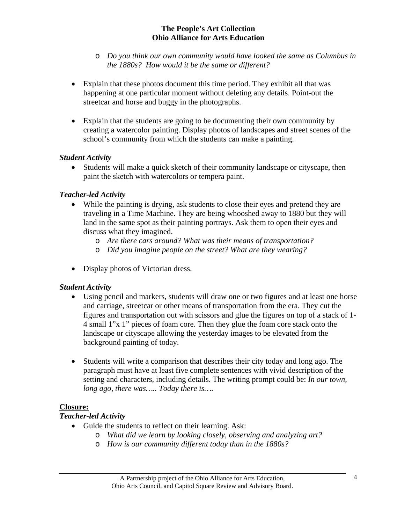- o *Do you think our own community would have looked the same as Columbus in the 1880s? How would it be the same or different?*
- Explain that these photos document this time period. They exhibit all that was happening at one particular moment without deleting any details. Point-out the streetcar and horse and buggy in the photographs.
- Explain that the students are going to be documenting their own community by creating a watercolor painting. Display photos of landscapes and street scenes of the school's community from which the students can make a painting.

### *Student Activity*

• Students will make a quick sketch of their community landscape or cityscape, then paint the sketch with watercolors or tempera paint.

# *Teacher-led Activity*

- While the painting is drying, ask students to close their eyes and pretend they are traveling in a Time Machine. They are being whooshed away to 1880 but they will land in the same spot as their painting portrays. Ask them to open their eyes and discuss what they imagined.
	- o *Are there cars around? What was their means of transportation?*
	- o *Did you imagine people on the street? What are they wearing?*
- Display photos of Victorian dress.

#### *Student Activity*

- Using pencil and markers, students will draw one or two figures and at least one horse and carriage, streetcar or other means of transportation from the era. They cut the figures and transportation out with scissors and glue the figures on top of a stack of 1- 4 small 1"x 1" pieces of foam core. Then they glue the foam core stack onto the landscape or cityscape allowing the yesterday images to be elevated from the background painting of today.
- Students will write a comparison that describes their city today and long ago. The paragraph must have at least five complete sentences with vivid description of the setting and characters, including details. The writing prompt could be: *In our town, long ago, there was….. Today there is….*

#### **Closure:**

#### *Teacher-led Activity*

- Guide the students to reflect on their learning. Ask:
	- o *What did we learn by looking closely, observing and analyzing art?* 
		- o *How is our community different today than in the 1880s?*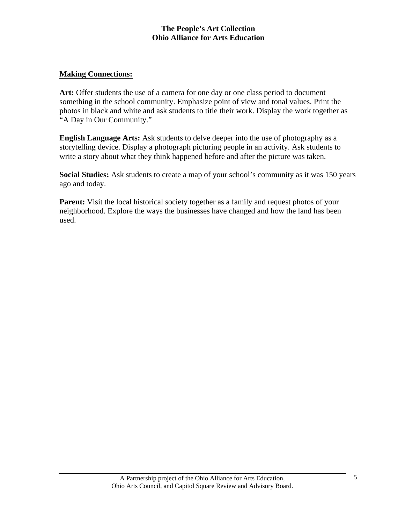#### **Making Connections:**

**Art:** Offer students the use of a camera for one day or one class period to document something in the school community. Emphasize point of view and tonal values. Print the photos in black and white and ask students to title their work. Display the work together as "A Day in Our Community."

**English Language Arts:** Ask students to delve deeper into the use of photography as a storytelling device. Display a photograph picturing people in an activity. Ask students to write a story about what they think happened before and after the picture was taken.

**Social Studies:** Ask students to create a map of your school's community as it was 150 years ago and today.

**Parent:** Visit the local historical society together as a family and request photos of your neighborhood. Explore the ways the businesses have changed and how the land has been used.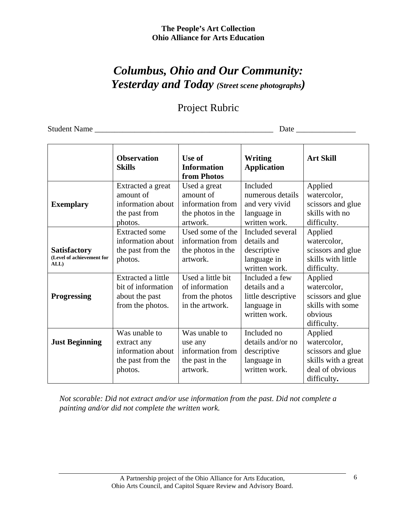# *Columbus, Ohio and Our Community: Yesterday and Today (Street scene photographs)*

# Project Rubric

Student Name \_\_\_\_\_\_\_\_\_\_\_\_\_\_\_\_\_\_\_\_\_\_\_\_\_\_\_\_\_\_\_\_\_\_\_\_\_\_\_\_\_\_\_\_\_ Date \_\_\_\_\_\_\_\_\_\_\_\_\_\_\_

|                                                          | <b>Observation</b><br><b>Skills</b>                                               | Use of<br><b>Information</b><br>from Photos                                    | Writing<br><b>Application</b>                                                         | <b>Art Skill</b>                                                                                     |
|----------------------------------------------------------|-----------------------------------------------------------------------------------|--------------------------------------------------------------------------------|---------------------------------------------------------------------------------------|------------------------------------------------------------------------------------------------------|
| <b>Exemplary</b>                                         | Extracted a great<br>amount of<br>information about<br>the past from<br>photos.   | Used a great<br>amount of<br>information from<br>the photos in the<br>artwork. | Included<br>numerous details<br>and very vivid<br>language in<br>written work.        | Applied<br>watercolor,<br>scissors and glue<br>skills with no<br>difficulty.                         |
| <b>Satisfactory</b><br>(Level of achievement for<br>ALL) | <b>Extracted some</b><br>information about<br>the past from the<br>photos.        | Used some of the<br>information from<br>the photos in the<br>artwork.          | Included several<br>details and<br>descriptive<br>language in<br>written work.        | Applied<br>watercolor,<br>scissors and glue<br>skills with little<br>difficulty.                     |
| <b>Progressing</b>                                       | Extracted a little<br>bit of information<br>about the past<br>from the photos.    | Used a little bit<br>of information<br>from the photos<br>in the artwork.      | Included a few<br>details and a<br>little descriptive<br>language in<br>written work. | Applied<br>watercolor,<br>scissors and glue<br>skills with some<br>obvious<br>difficulty.            |
| <b>Just Beginning</b>                                    | Was unable to<br>extract any<br>information about<br>the past from the<br>photos. | Was unable to<br>use any<br>information from<br>the past in the<br>artwork.    | Included no<br>details and/or no<br>descriptive<br>language in<br>written work.       | Applied<br>watercolor,<br>scissors and glue<br>skills with a great<br>deal of obvious<br>difficulty. |

*Not scorable: Did not extract and/or use information from the past. Did not complete a painting and/or did not complete the written work.*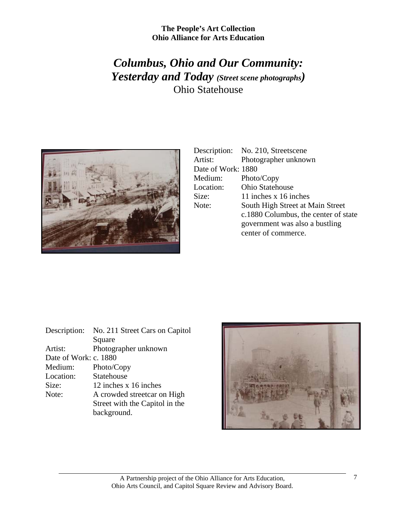# *Columbus, Ohio and Our Community: Yesterday and Today (Street scene photographs)* Ohio Statehouse



|                    | Description: No. 210, Streetscene    |
|--------------------|--------------------------------------|
| Artist:            | Photographer unknown                 |
| Date of Work: 1880 |                                      |
| Medium:            | Photo/Copy                           |
| Location:          | <b>Ohio Statehouse</b>               |
| Size:              | 11 inches x 16 inches                |
| Note:              | South High Street at Main Street     |
|                    | c.1880 Columbus, the center of state |
|                    | government was also a bustling       |
|                    | center of commerce.                  |

| Description:          | No. 211 Street Cars on Capitol |
|-----------------------|--------------------------------|
|                       | Square                         |
| Artist:               | Photographer unknown           |
| Date of Work: c. 1880 |                                |
| Medium:               | Photo/Copy                     |
| Location:             | Statehouse                     |
| Size:                 | 12 inches x 16 inches          |
| Note:                 | A crowded streetcar on High    |
|                       | Street with the Capitol in the |
|                       | background.                    |